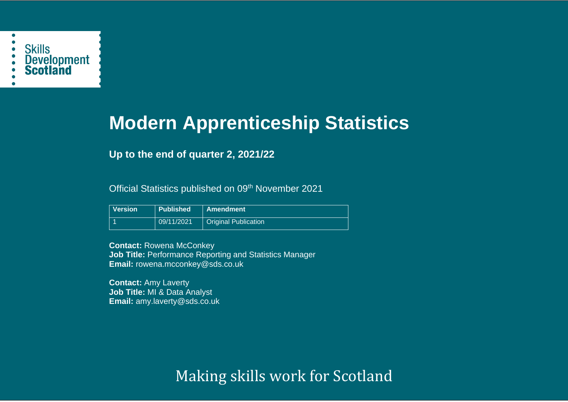

# **Modern Apprenticeship Statistics**

# **Up to the end of quarter 2, 2021/22**

Official Statistics published on 09<sup>th</sup> November 2021

| <b>Version</b> | <b>Published</b> | <b>Amendment</b>            |
|----------------|------------------|-----------------------------|
|                | 09/11/2021       | <b>Original Publication</b> |

**Contact:** Rowena McConkey **Job Title:** Performance Reporting and Statistics Manager **Email:** rowena.mcconkey@sds.co.uk

**Contact:** Amy Laverty **Job Title:** MI & Data Analyst **Email:** amy.laverty@sds.co.uk

Making skills work for Scotland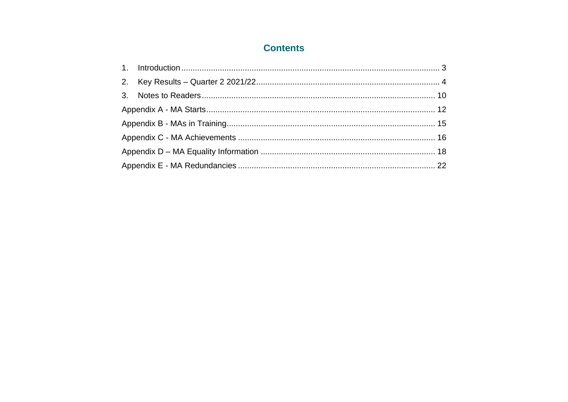# **Contents**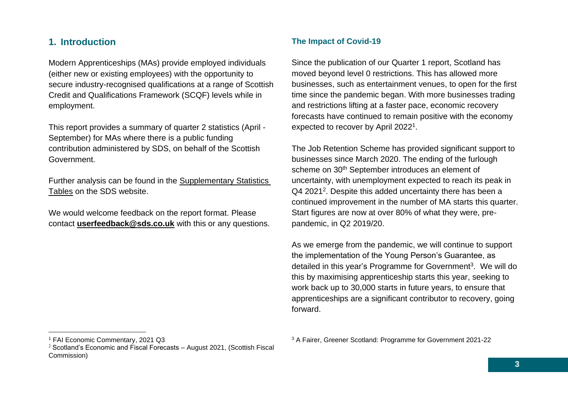## <span id="page-2-0"></span>**1. Introduction**

Modern Apprenticeships (MAs) provide employed individuals (either new or existing employees) with the opportunity to secure industry-recognised qualifications at a range of Scottish Credit and Qualifications Framework (SCQF) levels while in employment.

This report provides a summary of quarter 2 statistics (April - September) for MAs where there is a public funding contribution administered by SDS, on behalf of the Scottish Government.

Further analysis can be found in the [Supplementary Statistics](https://www.skillsdevelopmentscotland.co.uk/publications-statistics/statistics/modern-apprenticeships/)  [Tables](https://www.skillsdevelopmentscotland.co.uk/publications-statistics/statistics/modern-apprenticeships/) on the SDS website.

We would welcome feedback on the report format. Please contact **[userfeedback@sds.co.uk](mailto:userfeedback@sds.co.uk)** with this or any questions.

# **The Impact of Covid-19**

Since the publication of our Quarter 1 report, Scotland has moved beyond level 0 restrictions. This has allowed more businesses, such as entertainment venues, to open for the first time since the pandemic began. With more businesses trading and restrictions lifting at a faster pace, economic recovery forecasts have continued to remain positive with the economy expected to recover by April 2022<sup>1</sup>.

The Job Retention Scheme has provided significant support to businesses since March 2020. The ending of the furlough scheme on 30<sup>th</sup> September introduces an element of uncertainty, with unemployment expected to reach its peak in Q4 2021<sup>2</sup>. Despite this added uncertainty there has been a continued improvement in the number of MA starts this quarter. Start figures are now at over 80% of what they were, prepandemic, in Q2 2019/20.

As we emerge from the pandemic, we will continue to support the implementation of the Young Person's Guarantee, as detailed in this year's Programme for Government<sup>3</sup>. We will do this by maximising apprenticeship starts this year, seeking to work back up to 30,000 starts in future years, to ensure that apprenticeships are a significant contributor to recovery, going forward.

<sup>1</sup> FAI Economic Commentary, 2021 Q3

 $2$  Scotland's Economic and Fiscal Forecasts – August 2021, (Scottish Fiscal Commission)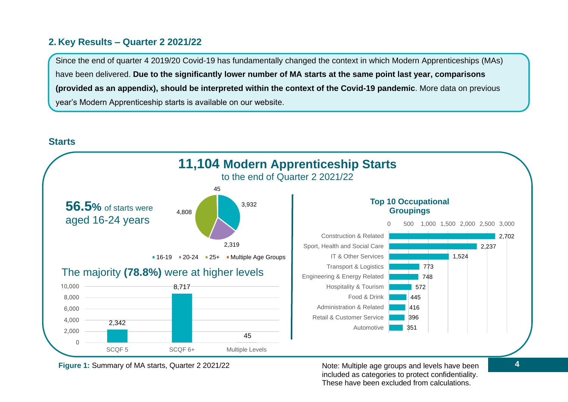# <span id="page-3-0"></span>**2. Key Results – Quarter 2 2021/22**

Since the end of quarter 4 2019/20 Covid-19 has fundamentally changed the context in which Modern Apprenticeships (MAs) have been delivered. **Due to the significantly lower number of MA starts at the same point last year, comparisons (provided as an appendix), should be interpreted within the context of the Covid-19 pandemic**. More data on previous year's Modern Apprenticeship starts is available on our website.



**Starts**

**Figure 1:** Summary of MA starts, Quarter 2 2021/22

Note: Multiple age groups and levels have been **4** included as categories to protect confidentiality. These have been excluded from calculations.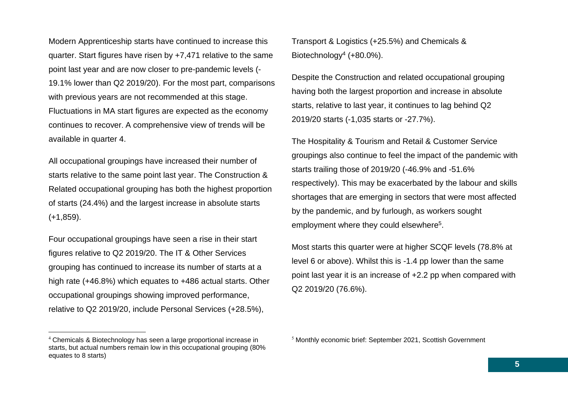Modern Apprenticeship starts have continued to increase this quarter. Start figures have risen by +7,471 relative to the same point last year and are now closer to pre-pandemic levels (- 19.1% lower than Q2 2019/20). For the most part, comparisons with previous years are not recommended at this stage. Fluctuations in MA start figures are expected as the economy continues to recover. A comprehensive view of trends will be available in quarter 4.

All occupational groupings have increased their number of starts relative to the same point last year. The Construction & Related occupational grouping has both the highest proportion of starts (24.4%) and the largest increase in absolute starts (+1,859).

Four occupational groupings have seen a rise in their start figures relative to Q2 2019/20. The IT & Other Services grouping has continued to increase its number of starts at a high rate (+46.8%) which equates to +486 actual starts. Other occupational groupings showing improved performance, relative to Q2 2019/20, include Personal Services (+28.5%),

Transport & Logistics (+25.5%) and Chemicals & Biotechnology<sup>4</sup> (+80.0%).

Despite the Construction and related occupational grouping having both the largest proportion and increase in absolute starts, relative to last year, it continues to lag behind Q2 2019/20 starts (-1,035 starts or -27.7%).

The Hospitality & Tourism and Retail & Customer Service groupings also continue to feel the impact of the pandemic with starts trailing those of 2019/20 (-46.9% and -51.6% respectively). This may be exacerbated by the labour and skills shortages that are emerging in sectors that were most affected by the pandemic, and by furlough, as workers sought employment where they could elsewhere<sup>5</sup>.

Most starts this quarter were at higher SCQF levels (78.8% at level 6 or above). Whilst this is -1.4 pp lower than the same point last year it is an increase of +2.2 pp when compared with Q2 2019/20 (76.6%).

<sup>4</sup> Chemicals & Biotechnology has seen a large proportional increase in starts, but actual numbers remain low in this occupational grouping (80% equates to 8 starts)

<sup>5</sup> Monthly economic brief: September 2021, Scottish Government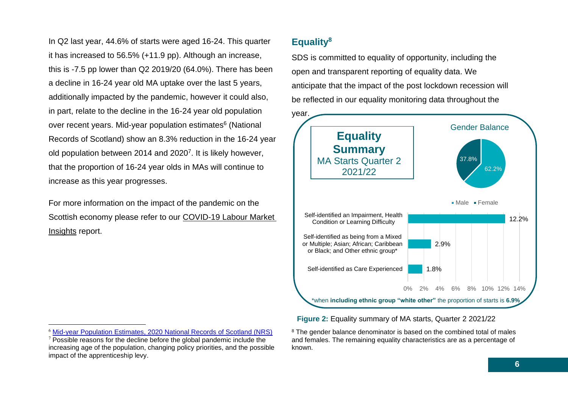In Q2 last year, 44.6% of starts were aged 16-24. This quarter it has increased to 56.5% (+11.9 pp). Although an increase, this is -7.5 pp lower than Q2 2019/20 (64.0%). There has been a decline in 16-24 year old MA uptake over the last 5 years, additionally impacted by the pandemic, however it could also, in part, relate to the decline in the 16-24 year old population over recent years. Mid-year population estimates<sup>6</sup> (National Records of Scotland) show an 8.3% reduction in the 16-24 year old population between 2014 and 2020<sup>7</sup>. It is likely however, that the proportion of 16-24 year olds in MAs will continue to increase as this year progresses.

For more information on the impact of the pandemic on the Scottish economy please refer to our [COVID-19 Labour Market](https://www.skillsdevelopmentscotland.co.uk/what-we-do/skills-planning/covid-19-labour-market-insights/)  [Insights](https://www.skillsdevelopmentscotland.co.uk/what-we-do/skills-planning/covid-19-labour-market-insights/) report.

# **Equality<sup>8</sup>**

SDS is committed to equality of opportunity, including the open and transparent reporting of equality data. We anticipate that the impact of the post lockdown recession will be reflected in our equality monitoring data throughout the



**Figure 2:** Equality summary of MA starts, Quarter 2 2021/22

<sup>6</sup> [Mid-year Population Estimates, 2020 National Records of Scotland \(NRS\)](https://www.nrscotland.gov.uk/statistics-and-data/statistics/statistics-by-theme/population/population-estimates/mid-year-population-estimates/mid-2020)

 $7$  Possible reasons for the decline before the global pandemic include the increasing age of the population, changing policy priorities, and the possible impact of the apprenticeship levy.

<sup>&</sup>lt;sup>8</sup> The gender balance denominator is based on the combined total of males and females. The remaining equality characteristics are as a percentage of known.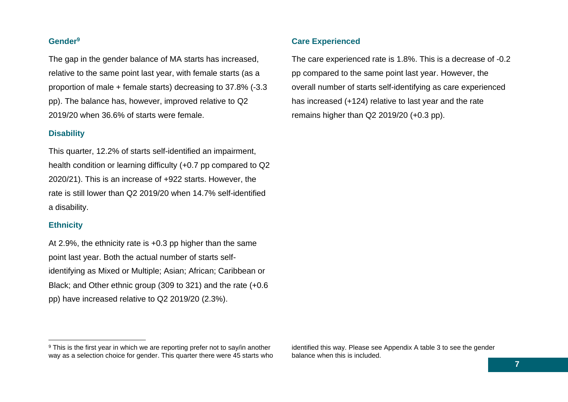#### **Gender<sup>9</sup>**

The gap in the gender balance of MA starts has increased, relative to the same point last year, with female starts (as a proportion of male + female starts) decreasing to 37.8% (-3.3 pp). The balance has, however, improved relative to Q2 2019/20 when 36.6% of starts were female.

#### **Disability**

This quarter, 12.2% of starts self-identified an impairment, health condition or learning difficulty (+0.7 pp compared to Q2 2020/21). This is an increase of +922 starts. However, the rate is still lower than Q2 2019/20 when 14.7% self-identified a disability.

#### **Ethnicity**

At 2.9%, the ethnicity rate is +0.3 pp higher than the same point last year. Both the actual number of starts selfidentifying as Mixed or Multiple; Asian; African; Caribbean or Black; and Other ethnic group (309 to 321) and the rate (+0.6 pp) have increased relative to Q2 2019/20 (2.3%).

#### **Care Experienced**

The care experienced rate is 1.8%. This is a decrease of -0.2 pp compared to the same point last year. However, the overall number of starts self-identifying as care experienced has increased (+124) relative to last year and the rate remains higher than Q2 2019/20 (+0.3 pp).

<sup>&</sup>lt;sup>9</sup> This is the first year in which we are reporting prefer not to say/in another way as a selection choice for gender. This quarter there were 45 starts who

identified this way. Please see Appendix A table 3 to see the gender balance when this is included.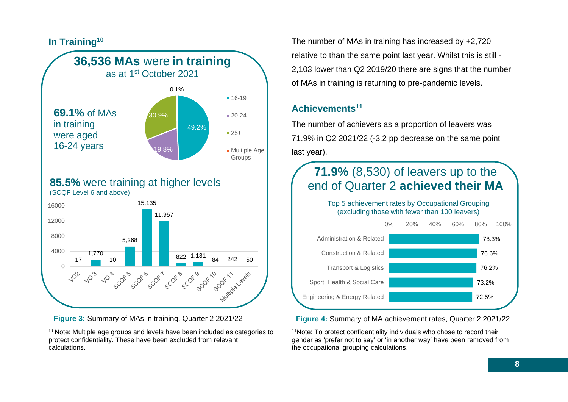



#### **85.5%** were training at higher levels (SCQF Level 6 and above)



**Figure 3:** Summary of MAs in training, Quarter 2 2021/22

 $10$  Note: Multiple age groups and levels have been included as categories to protect confidentiality. These have been excluded from relevant calculations.

The number of MAs in training has increased by +2,720 relative to than the same point last year. Whilst this is still - 2,103 lower than Q2 2019/20 there are signs that the number of MAs in training is returning to pre-pandemic levels.

# **Achievements<sup>11</sup>**

The number of achievers as a proportion of leavers was 71.9% in Q2 2021/22 (-3.2 pp decrease on the same point last year).

# **71.9%** (8,530) of leavers up to the end of Quarter 2 **achieved their MA**

Top 5 achievement rates by Occupational Grouping (excluding those with fewer than 100 leavers)



**Figure 4:** Summary of MA achievement rates, Quarter 2 2021/22

<sup>11</sup>Note: To protect confidentiality individuals who chose to record their gender as 'prefer not to say' or 'in another way' have been removed from the occupational grouping calculations.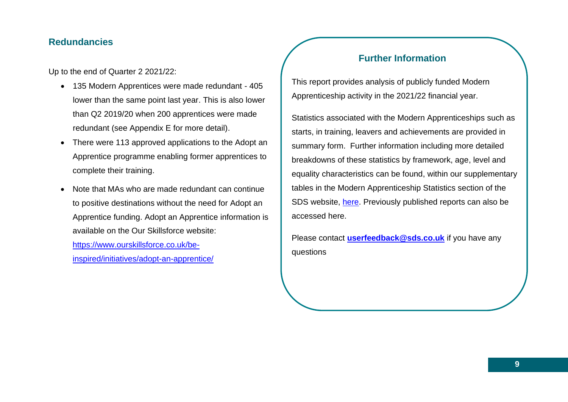## **Redundancies**

Up to the end of Quarter 2 2021/22:

- 135 Modern Apprentices were made redundant 405 lower than the same point last year. This is also lower than Q2 2019/20 when 200 apprentices were made redundant (see Appendix E for more detail).
- There were 113 approved applications to the Adopt an Apprentice programme enabling former apprentices to complete their training.
- Note that MAs who are made redundant can continue to positive destinations without the need for Adopt an Apprentice funding. Adopt an Apprentice information is available on the Our Skillsforce website:

[https://www.ourskillsforce.co.uk/be](https://www.ourskillsforce.co.uk/be-inspired/initiatives/adopt-an-apprentice/)[inspired/initiatives/adopt-an-apprentice/](https://www.ourskillsforce.co.uk/be-inspired/initiatives/adopt-an-apprentice/)

# **Further Information**

This report provides analysis of publicly funded Modern Apprenticeship activity in the 2021/22 financial year.

Statistics associated with the Modern Apprenticeships such as starts, in training, leavers and achievements are provided in summary form. Further information including more detailed breakdowns of these statistics by framework, age, level and equality characteristics can be found, within our supplementary tables in the Modern Apprenticeship Statistics section of the SDS website, [here.](https://www.skillsdevelopmentscotland.co.uk/publications-statistics/statistics/modern-apprenticeships/?page=1&statisticCategoryId=4&order=date-desc) Previously published reports can also be accessed here.

Please contact **[userfeedback@sds.co.uk](mailto:userfeedback@sds.co.uk)** if you have any questions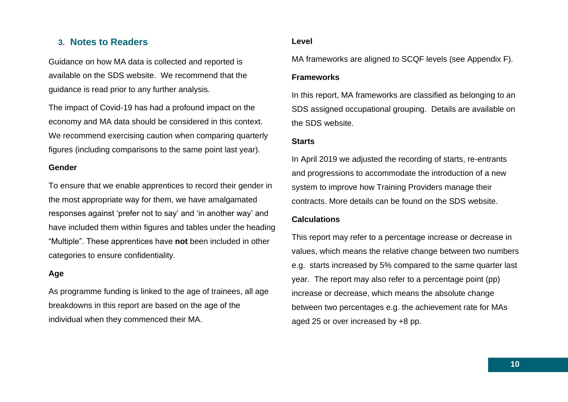#### <span id="page-9-0"></span>**3. Notes to Readers**

Guidance on how MA data is collected and reported is available on the SDS website. We recommend that the guidance is read prior to any further analysis.

The impact of Covid-19 has had a profound impact on the economy and MA data should be considered in this context. We recommend exercising caution when comparing quarterly figures (including comparisons to the same point last year).

#### **Gender**

To ensure that we enable apprentices to record their gender in the most appropriate way for them, we have amalgamated responses against 'prefer not to say' and 'in another way' and have included them within figures and tables under the heading "Multiple". These apprentices have **not** been included in other categories to ensure confidentiality.

#### **Age**

As programme funding is linked to the age of trainees, all age breakdowns in this report are based on the age of the individual when they commenced their MA.

#### **Level**

MA frameworks are aligned to SCQF levels (see Appendix F).

#### **Frameworks**

In this report, MA frameworks are classified as belonging to an SDS assigned occupational grouping. Details are available on the SDS website.

#### **Starts**

In April 2019 we adjusted the recording of starts, re-entrants and progressions to accommodate the introduction of a new system to improve how Training Providers manage their contracts. More details can be found on the SDS website.

#### **Calculations**

This report may refer to a percentage increase or decrease in values, which means the relative change between two numbers e.g. starts increased by 5% compared to the same quarter last year. The report may also refer to a percentage point (pp) increase or decrease, which means the absolute change between two percentages e.g. the achievement rate for MAs aged 25 or over increased by +8 pp.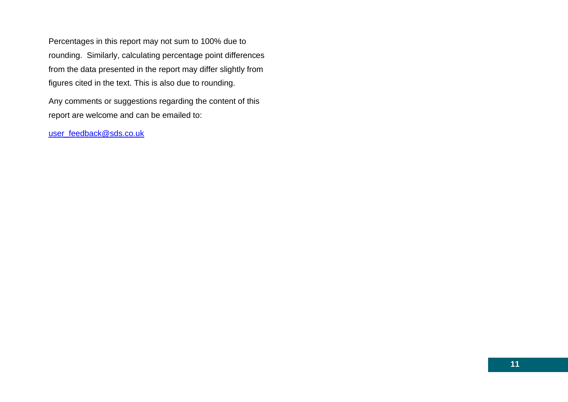Percentages in this report may not sum to 100% due to rounding. Similarly, calculating percentage point differences from the data presented in the report may differ slightly from figures cited in the text. This is also due to rounding.

Any comments or suggestions regarding the content of this report are welcome and can be emailed to:

[user\\_feedback@sds.co.uk](mailto:user_feedback@sds.co.uk)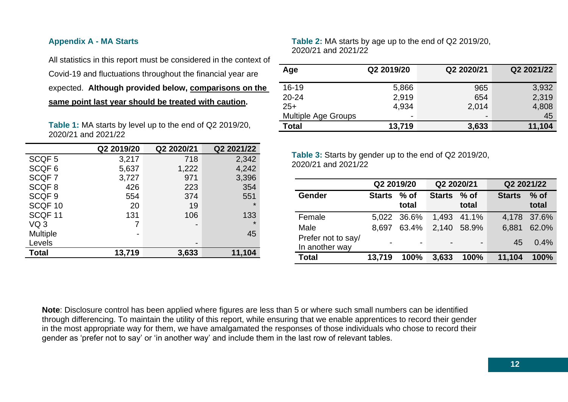#### <span id="page-11-0"></span>**Appendix A - MA Starts**

All statistics in this report must be considered in the context of Covid-19 and fluctuations throughout the financial year are expected. **Although provided below, comparisons on the** 

**same point last year should be treated with caution.**

**Table 1:** MA starts by level up to the end of Q2 2019/20, 2020/21 and 2021/22

|                    | Q2 2019/20 | Q2 2020/21               | Q2 2021/22 |
|--------------------|------------|--------------------------|------------|
| SCQF <sub>5</sub>  | 3,217      | 718                      | 2,342      |
| SCQF <sub>6</sub>  | 5,637      | 1,222                    | 4,242      |
| SCQF7              | 3,727      | 971                      | 3,396      |
| SCQF <sub>8</sub>  | 426        | 223                      | 354        |
| SCQF <sub>9</sub>  | 554        | 374                      | 551        |
| SCQF <sub>10</sub> | 20         | 19                       | $\star$    |
| SCQF <sub>11</sub> | 131        | 106                      | 133        |
| VQ <sub>3</sub>    |            | $\overline{\phantom{0}}$ | $\star$    |
| <b>Multiple</b>    |            |                          | 45         |
| Levels             |            |                          |            |
| <b>Total</b>       | 13,719     | 3,633                    | 11,104     |

**Table 2:** MA starts by age up to the end of Q2 2019/20, 2020/21 and 2021/22

| Age                        | Q2 2019/20 | Q2 2020/21               | Q2 2021/22 |
|----------------------------|------------|--------------------------|------------|
| $16 - 19$                  | 5,866      | 965                      | 3,932      |
| $20 - 24$                  | 2,919      | 654                      | 2,319      |
| $25+$                      | 4,934      | 2,014                    | 4,808      |
| <b>Multiple Age Groups</b> | -          | $\overline{\phantom{0}}$ | 45         |
| <b>Total</b>               | 13,719     | 3,633                    | 11,104     |

**Table 3:** Starts by gender up to the end of Q2 2019/20, 2020/21 and 2021/22

|                                      | Q2 2019/20    |                 | Q2 2020/21  |                | Q2 2021/22    |                 |  |
|--------------------------------------|---------------|-----------------|-------------|----------------|---------------|-----------------|--|
| <b>Gender</b>                        | <b>Starts</b> | $%$ of<br>total | Starts % of | total          | <b>Starts</b> | $%$ of<br>total |  |
| Female                               |               | 5,022 36.6%     |             | 1,493 41.1%    |               | 4,178 37.6%     |  |
| Male                                 | 8.697         | 63.4%           |             | 2,140 58.9%    | 6,881         | 62.0%           |  |
| Prefer not to say/<br>In another way |               | $\overline{a}$  |             | $\blacksquare$ | 45            | $0.4\%$         |  |
| <b>Total</b>                         | 13,719        | 100%            | 3,633       | 100%           | 11,104        | 100%            |  |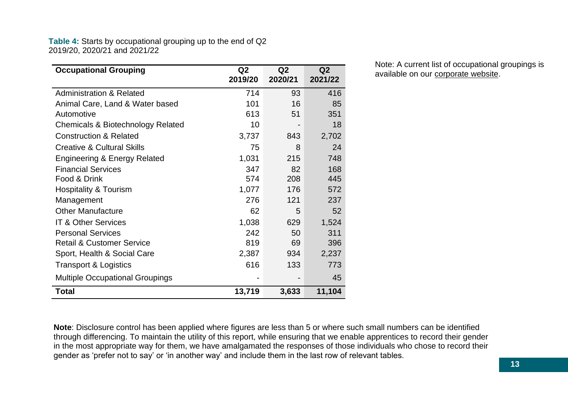#### **Table 4:** Starts by occupational grouping up to the end of Q2 2019/20, 2020/21 and 2021/22

| <b>Occupational Grouping</b>            | Q <sub>2</sub><br>2019/20 | Q <sub>2</sub><br>2020/21 | Q <sub>2</sub><br>2021/22 |
|-----------------------------------------|---------------------------|---------------------------|---------------------------|
| <b>Administration &amp; Related</b>     | 714                       | 93                        | 416                       |
| Animal Care, Land & Water based         | 101                       | 16                        | 85                        |
| Automotive                              | 613                       | 51                        | 351                       |
| Chemicals & Biotechnology Related       | 10                        |                           | 18                        |
| <b>Construction &amp; Related</b>       | 3,737                     | 843                       | 2,702                     |
| <b>Creative &amp; Cultural Skills</b>   | 75                        | 8                         | 24                        |
| <b>Engineering &amp; Energy Related</b> | 1,031                     | 215                       | 748                       |
| <b>Financial Services</b>               | 347                       | 82                        | 168                       |
| Food & Drink                            | 574                       | 208                       | 445                       |
| <b>Hospitality &amp; Tourism</b>        | 1,077                     | 176                       | 572                       |
| Management                              | 276                       | 121                       | 237                       |
| <b>Other Manufacture</b>                | 62                        | 5                         | 52                        |
| <b>IT &amp; Other Services</b>          | 1,038                     | 629                       | 1,524                     |
| <b>Personal Services</b>                | 242                       | 50                        | 311                       |
| <b>Retail &amp; Customer Service</b>    | 819                       | 69                        | 396                       |
| Sport, Health & Social Care             | 2,387                     | 934                       | 2,237                     |
| <b>Transport &amp; Logistics</b>        | 616                       | 133                       | 773                       |
| <b>Multiple Occupational Groupings</b>  |                           |                           | 45                        |
| Total                                   | 13,719                    | 3,633                     | 11,104                    |

Note: A current list of occupational groupings is available on our [corporate website.](https://www.skillsdevelopmentscotland.co.uk/publications-statistics/statistics/modern-apprenticeships/?page=1&statisticCategoryId=4&order=date-desc)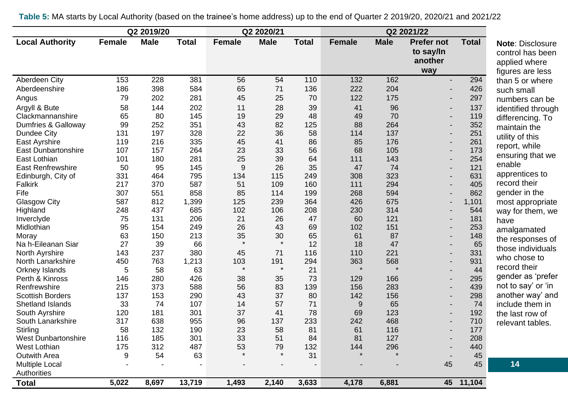|                            |               | Q2 2019/20  |              |               | Q2 2020/21  |              |               |             |                   |              |                         |
|----------------------------|---------------|-------------|--------------|---------------|-------------|--------------|---------------|-------------|-------------------|--------------|-------------------------|
| <b>Local Authority</b>     | <b>Female</b> | <b>Male</b> | <b>Total</b> | <b>Female</b> | <b>Male</b> | <b>Total</b> | <b>Female</b> | <b>Male</b> | <b>Prefer not</b> | <b>Total</b> | <b>Note: Disclosure</b> |
|                            |               |             |              |               |             |              |               |             | to say/In         |              | control has been        |
|                            |               |             |              |               |             |              |               |             | another           |              | applied where           |
|                            |               |             |              |               |             |              |               |             | way               |              | figures are less        |
| Aberdeen City              | 153           | 228         | 381          | 56            | 54          | 110          | 132           | 162         | $\blacksquare$    | 294          | than 5 or where         |
| Aberdeenshire              | 186           | 398         | 584          | 65            | 71          | 136          | 222           | 204         |                   | 426          | such small              |
| Angus                      | 79            | 202         | 281          | 45            | 25          | 70           | 122           | 175         |                   | 297          | numbers can be          |
| Argyll & Bute              | 58            | 144         | 202          | 11            | 28          | 39           | 41            | 96          |                   | 137          | identified through      |
| Clackmannanshire           | 65            | 80          | 145          | 19            | 29          | 48           | 49            | 70          |                   | 119          | differencing. To        |
| Dumfries & Galloway        | 99            | 252         | 351          | 43            | 82          | 125          | 88            | 264         |                   | 352          | maintain the            |
| <b>Dundee City</b>         | 131           | 197         | 328          | 22            | 36          | 58           | 114           | 137         |                   | 251          | utility of this         |
| East Ayrshire              | 119           | 216         | 335          | 45            | 41          | 86           | 85            | 176         |                   | 261          | report, while           |
| <b>East Dunbartonshire</b> | 107           | 157         | 264          | 23            | 33          | 56           | 68            | 105         |                   | 173          |                         |
| East Lothian               | 101           | 180         | 281          | 25            | 39          | 64           | 111           | 143         |                   | 254          | ensuring that we        |
| <b>East Renfrewshire</b>   | 50            | 95          | 145          | 9             | 26          | 35           | 47            | 74          |                   | 121          | enable                  |
| Edinburgh, City of         | 331           | 464         | 795          | 134           | 115         | 249          | 308           | 323         |                   | 631          | apprentices to          |
| Falkirk                    | 217           | 370         | 587          | 51            | 109         | 160          | 111           | 294         |                   | 405          | record their            |
| Fife                       | 307           | 551         | 858          | 85            | 114         | 199          | 268           | 594         |                   | 862          | gender in the           |
| <b>Glasgow City</b>        | 587           | 812         | 1,399        | 125           | 239         | 364          | 426           | 675         |                   | 1,101        | most appropriate        |
| Highland                   | 248           | 437         | 685          | 102           | 106         | 208          | 230           | 314         |                   | 544          | way for them, we        |
| Inverclyde                 | 75            | 131         | 206          | 21            | 26          | 47           | 60            | 121         |                   | 181          | have                    |
| Midlothian                 | 95            | 154         | 249          | 26            | 43          | 69           | 102           | 151         |                   | 253          | amalgamated             |
| Moray                      | 63            | 150         | 213          | 35            | 30          | 65           | 61            | 87          |                   | 148          | the responses of        |
| Na h-Eileanan Siar         | 27            | 39          | 66           | $\star$       | $\star$     | 12           | 18            | 47          |                   | 65           | those individuals       |
| North Ayrshire             | 143           | 237         | 380          | 45            | 71          | 116          | 110           | 221         |                   | 331          | who chose to            |
| North Lanarkshire          | 450           | 763         | 1,213        | 103           | 191         | 294          | 363           | 568         |                   | 931          | record their            |
| Orkney Islands             | 5             | 58          | 63           | $\star$       | $\star$     | 21           | $\star$       | $\star$     |                   | 44           |                         |
| Perth & Kinross            | 146           | 280         | 426          | 38            | 35          | 73           | 129           | 166         |                   | 295          | gender as 'prefer       |
| Renfrewshire               | 215           | 373         | 588          | 56            | 83          | 139          | 156           | 283         |                   | 439          | not to say' or 'in      |
| <b>Scottish Borders</b>    | 137           | 153         | 290          | 43            | 37          | 80           | 142           | 156         |                   | 298          | another way' and        |
| Shetland Islands           | 33            | 74          | 107          | 14            | 57          | 71           | 9             | 65          |                   | 74           | include them in         |
| South Ayrshire             | 120           | 181         | 301          | 37            | 41          | 78           | 69            | 123         |                   | 192          | the last row of         |
| South Lanarkshire          | 317           | 638         | 955          | 96            | 137         | 233          | 242           | 468         |                   | 710          | relevant tables.        |
| Stirling                   | 58            | 132         | 190          | 23            | 58          | 81           | 61            | 116         |                   | 177          |                         |
| <b>West Dunbartonshire</b> | 116           | 185         | 301          | 33            | 51          | 84           | 81            | 127         |                   | 208          |                         |
| West Lothian               | 175           | 312         | 487          | 53            | 79          | 132          | 144           | 296         |                   | 440          |                         |
| <b>Outwith Area</b>        | 9             | 54          | 63           |               | $\star$     | 31           |               | $\star$     |                   | 45           |                         |
| <b>Multiple Local</b>      |               |             |              |               |             |              |               |             | 45                | 45           | 14                      |
| Authorities                |               |             |              |               |             |              |               |             |                   |              |                         |
| <b>Total</b>               | 5,022         | 8,697       | 13,719       | 1,493         | 2,140       | 3,633        | 4,178         | 6,881       | 45                | 11,104       |                         |

**Table 5:** MA starts by Local Authority (based on the trainee's home address) up to the end of Quarter 2 2019/20, 2020/21 and 2021/22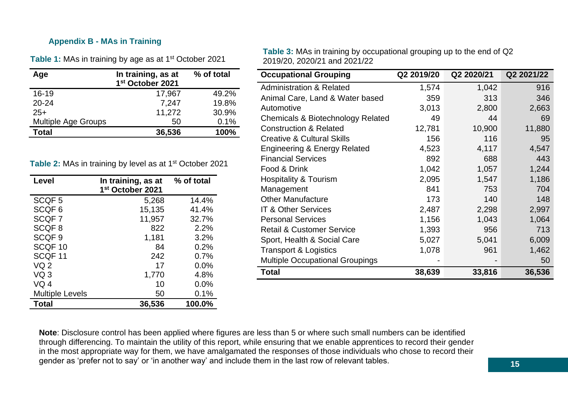#### <span id="page-14-0"></span>**Appendix B - MAs in Training**

Table 1: MAs in training by age as at 1<sup>st</sup> October 2021

| Age                        | In training, as at<br>1st October 2021 | % of total |
|----------------------------|----------------------------------------|------------|
| $16 - 19$                  | 17,967                                 | 49.2%      |
| $20 - 24$                  | 7,247                                  | 19.8%      |
| $25+$                      | 11,272                                 | 30.9%      |
| <b>Multiple Age Groups</b> | 50                                     | 0.1%       |
| <b>Total</b>               | 36,536                                 | 100%       |

Table 2: MAs in training by level as at 1<sup>st</sup> October 2021

| Level                  | In training, as at<br>1st October 2021 | % of total |
|------------------------|----------------------------------------|------------|
| SCQF <sub>5</sub>      | 5,268                                  | 14.4%      |
| SCQF <sub>6</sub>      | 15,135                                 | 41.4%      |
| SCQF7                  | 11,957                                 | 32.7%      |
| SCQF <sub>8</sub>      | 822                                    | 2.2%       |
| SCQF <sub>9</sub>      | 1,181                                  | 3.2%       |
| SCQF 10                | 84                                     | 0.2%       |
| SCQF <sub>11</sub>     | 242                                    | 0.7%       |
| VQ <sub>2</sub>        | 17                                     | 0.0%       |
| VQ <sub>3</sub>        | 1,770                                  | 4.8%       |
| VO <sub>4</sub>        | 10                                     | 0.0%       |
| <b>Multiple Levels</b> | 50                                     | 0.1%       |
| <b>Total</b>           | 36,536                                 | 100.0%     |

**Table 3:** MAs in training by occupational grouping up to the end of Q2 2019/20, 2020/21 and 2021/22

| <b>Occupational Grouping</b>            | Q2 2019/20 | Q2 2020/21 | Q2 2021/22 |
|-----------------------------------------|------------|------------|------------|
| <b>Administration &amp; Related</b>     | 1,574      | 1,042      | 916        |
| Animal Care, Land & Water based         | 359        | 313        | 346        |
| Automotive                              | 3,013      | 2,800      | 2,663      |
| Chemicals & Biotechnology Related       | 49         | 44         | 69         |
| <b>Construction &amp; Related</b>       | 12,781     | 10,900     | 11,880     |
| <b>Creative &amp; Cultural Skills</b>   | 156        | 116        | 95         |
| <b>Engineering &amp; Energy Related</b> | 4,523      | 4,117      | 4,547      |
| <b>Financial Services</b>               | 892        | 688        | 443        |
| Food & Drink                            | 1,042      | 1,057      | 1,244      |
| Hospitality & Tourism                   | 2,095      | 1,547      | 1,186      |
| Management                              | 841        | 753        | 704        |
| <b>Other Manufacture</b>                | 173        | 140        | 148        |
| <b>IT &amp; Other Services</b>          | 2,487      | 2,298      | 2,997      |
| <b>Personal Services</b>                | 1,156      | 1,043      | 1,064      |
| <b>Retail &amp; Customer Service</b>    | 1,393      | 956        | 713        |
| Sport, Health & Social Care             | 5,027      | 5,041      | 6,009      |
| <b>Transport &amp; Logistics</b>        | 1,078      | 961        | 1,462      |
| <b>Multiple Occupational Groupings</b>  |            |            | 50         |
| <b>Total</b>                            | 38,639     | 33,816     | 36,536     |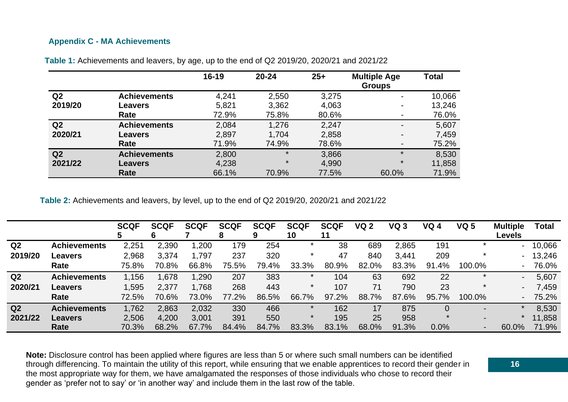#### <span id="page-15-0"></span>**Appendix C - MA Achievements**

|                |                     | $16 - 19$ | $20 - 24$ | $25+$ | <b>Multiple Age</b><br><b>Groups</b> | <b>Total</b> |
|----------------|---------------------|-----------|-----------|-------|--------------------------------------|--------------|
| Q <sub>2</sub> | <b>Achievements</b> | 4,241     | 2,550     | 3,275 |                                      | 10,066       |
| 2019/20        | <b>Leavers</b>      | 5,821     | 3,362     | 4,063 | $\blacksquare$                       | 13,246       |
|                | Rate                | 72.9%     | 75.8%     | 80.6% |                                      | 76.0%        |
| Q2             | <b>Achievements</b> | 2,084     | 1,276     | 2,247 |                                      | 5,607        |
| 2020/21        | <b>Leavers</b>      | 2,897     | 1,704     | 2,858 |                                      | 7,459        |
|                | Rate                | 71.9%     | 74.9%     | 78.6% | $\blacksquare$                       | 75.2%        |
| Q <sub>2</sub> | <b>Achievements</b> | 2,800     | $\star$   | 3,866 | $\star$                              | 8,530        |
| 2021/22        | <b>Leavers</b>      | 4,238     | $\star$   | 4,990 | $\star$                              | 11,858       |
|                | Rate                | 66.1%     | 70.9%     | 77.5% | 60.0%                                | 71.9%        |

**Table 1:** Achievements and leavers, by age, up to the end of Q2 2019/20, 2020/21 and 2021/22

**Table 2:** Achievements and leavers, by level, up to the end of Q2 2019/20, 2020/21 and 2021/22

|                |                     | <b>SCQF</b> | <b>SCQF</b> | <b>SCQF</b> | <b>SCQF</b><br>o | <b>SCQF</b> | <b>SCQF</b><br>10 | <b>SCQF</b><br>11 | <b>VQ 2</b> | VQ <sub>3</sub> | <b>VQ 4</b> | <b>VQ 5</b>              | <b>Multiple</b><br>Levels | <b>Total</b> |
|----------------|---------------------|-------------|-------------|-------------|------------------|-------------|-------------------|-------------------|-------------|-----------------|-------------|--------------------------|---------------------------|--------------|
| Q <sub>2</sub> | <b>Achievements</b> | 2,251       | 2,390       | ,200        | 179              | 254         |                   | 38                | 689         | 2,865           | 191         |                          |                           | $-10,066$    |
| 2019/20        | <b>Leavers</b>      | 2,968       | 3,374       | 1.797       | 237              | 320         |                   | 47                | 840         | 3,441           | 209         |                          |                           | $-13,246$    |
|                | Rate                | 75.8%       | 70.8%       | 66.8%       | 75.5%            | 79.4%       | 33.3%             | 80.9%             | 82.0%       | 83.3%           | 91.4%       | 100.0%                   |                           | 76.0%        |
| Q <sub>2</sub> | <b>Achievements</b> | 1,156       | .678        | 1,290       | 207              | 383         |                   | 104               | 63          | 692             | 22          |                          |                           | 5,607        |
| 2020/21        | <b>Leavers</b>      | 1,595       | 2,377       | 1,768       | 268              | 443         | $\ast$            | 107               | 71          | 790             | 23          |                          |                           | 7,459        |
|                | Rate                | 72.5%       | 70.6%       | 73.0%       | 77.2%            | 86.5%       | 66.7%             | 97.2%             | 88.7%       | 87.6%           | 95.7%       | 100.0%                   |                           | 75.2%        |
| Q <sub>2</sub> | <b>Achievements</b> | 1,762       | 2,863       | 2,032       | 330              | 466         |                   | 162               | 17          | 875             |             | $\overline{\phantom{0}}$ |                           | 8,530        |
| 2021/22        | <b>Leavers</b>      | 2,506       | 4,200       | 3,001       | 391              | 550         |                   | 195               | 25          | 958             |             |                          |                           | 11,858       |
|                | Rate                | 70.3%       | 68.2%       | 67.7%       | 84.4%            | 84.7%       | 83.3%             | 83.1%             | 68.0%       | 91.3%           | 0.0%        | $\blacksquare$           | 60.0%                     | 71.9%        |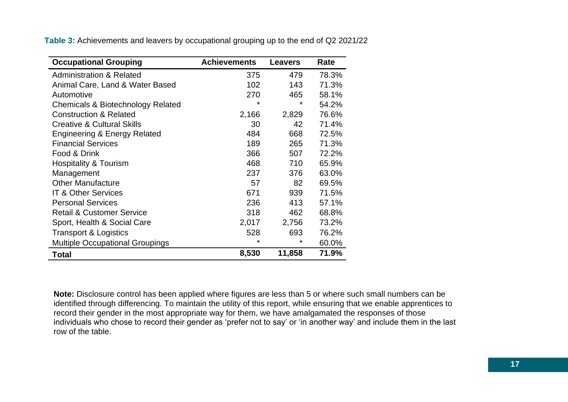**Table 3:** Achievements and leavers by occupational grouping up to the end of Q2 2021/22

| <b>Occupational Grouping</b>            | <b>Achievements</b> | Leavers | Rate  |
|-----------------------------------------|---------------------|---------|-------|
| <b>Administration &amp; Related</b>     | 375                 | 479     | 78.3% |
| Animal Care, Land & Water Based         | 102                 | 143     | 71.3% |
| Automotive                              | 270                 | 465     | 58.1% |
| Chemicals & Biotechnology Related       | $\star$             | ¥       | 54.2% |
| <b>Construction &amp; Related</b>       | 2,166               | 2,829   | 76.6% |
| <b>Creative &amp; Cultural Skills</b>   | 30                  | 42      | 71.4% |
| <b>Engineering &amp; Energy Related</b> | 484                 | 668     | 72.5% |
| <b>Financial Services</b>               | 189                 | 265     | 71.3% |
| Food & Drink                            | 366                 | 507     | 72.2% |
| <b>Hospitality &amp; Tourism</b>        | 468                 | 710     | 65.9% |
| Management                              | 237                 | 376     | 63.0% |
| <b>Other Manufacture</b>                | 57                  | 82      | 69.5% |
| <b>IT &amp; Other Services</b>          | 671                 | 939     | 71.5% |
| <b>Personal Services</b>                | 236                 | 413     | 57.1% |
| <b>Retail &amp; Customer Service</b>    | 318                 | 462     | 68.8% |
| Sport, Health & Social Care             | 2,017               | 2,756   | 73.2% |
| <b>Transport &amp; Logistics</b>        | 528                 | 693     | 76.2% |
| <b>Multiple Occupational Groupings</b>  | *                   | *       | 60.0% |
| <b>Total</b>                            | 8,530               | 11,858  | 71.9% |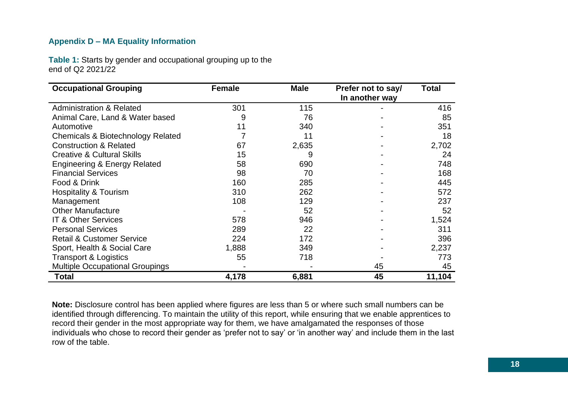#### <span id="page-17-0"></span>**Appendix D – MA Equality Information**

**Table 1:** Starts by gender and occupational grouping up to the end of Q2 2021/22

| <b>Occupational Grouping</b>            | <b>Female</b> | <b>Male</b> | Prefer not to say/<br>In another way | Total  |
|-----------------------------------------|---------------|-------------|--------------------------------------|--------|
| <b>Administration &amp; Related</b>     | 301           | 115         |                                      | 416    |
| Animal Care, Land & Water based         | 9             | 76          |                                      | 85     |
| Automotive                              | 11            | 340         |                                      | 351    |
| Chemicals & Biotechnology Related       |               | 11          |                                      | 18     |
| <b>Construction &amp; Related</b>       | 67            | 2,635       |                                      | 2,702  |
| <b>Creative &amp; Cultural Skills</b>   | 15            | 9           |                                      | 24     |
| <b>Engineering &amp; Energy Related</b> | 58            | 690         |                                      | 748    |
| <b>Financial Services</b>               | 98            | 70          |                                      | 168    |
| Food & Drink                            | 160           | 285         |                                      | 445    |
| <b>Hospitality &amp; Tourism</b>        | 310           | 262         |                                      | 572    |
| Management                              | 108           | 129         |                                      | 237    |
| <b>Other Manufacture</b>                |               | 52          |                                      | 52     |
| <b>IT &amp; Other Services</b>          | 578           | 946         |                                      | 1,524  |
| <b>Personal Services</b>                | 289           | 22          |                                      | 311    |
| <b>Retail &amp; Customer Service</b>    | 224           | 172         |                                      | 396    |
| Sport, Health & Social Care             | 1,888         | 349         |                                      | 2,237  |
| <b>Transport &amp; Logistics</b>        | 55            | 718         |                                      | 773    |
| <b>Multiple Occupational Groupings</b>  |               |             | 45                                   | 45     |
| <b>Total</b>                            | 4,178         | 6,881       | 45                                   | 11,104 |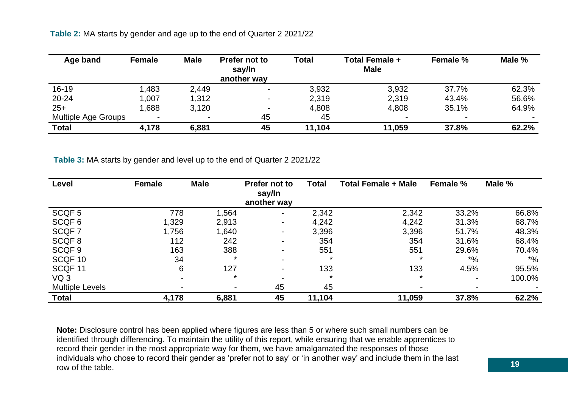**Table 2:** MA starts by gender and age up to the end of Quarter 2 2021/22

| Age band                   | <b>Female</b> | <b>Male</b> | Prefer not to<br>say/In<br>another way | Total  | <b>Total Female +</b><br><b>Male</b> | <b>Female %</b> | Male % |
|----------------------------|---------------|-------------|----------------------------------------|--------|--------------------------------------|-----------------|--------|
| $16 - 19$                  | ,483          | 2,449       | $\blacksquare$                         | 3,932  | 3,932                                | 37.7%           | 62.3%  |
| 20-24                      | 1,007         | 1,312       | $\blacksquare$                         | 2,319  | 2,319                                | 43.4%           | 56.6%  |
| $25+$                      | .688          | 3,120       | $\overline{\phantom{0}}$               | 4,808  | 4,808                                | 35.1%           | 64.9%  |
| <b>Multiple Age Groups</b> |               | ۰           | 45                                     | 45     | $\overline{\phantom{0}}$             |                 |        |
| <b>Total</b>               | 4,178         | 6,881       | 45                                     | 11,104 | 11,059                               | 37.8%           | 62.2%  |

**Table 3:** MA starts by gender and level up to the end of Quarter 2 2021/22

| Level                  | Female | <b>Male</b>              | Prefer not to<br>say/In  | Total   | <b>Total Female + Male</b> | Female %    | Male % |
|------------------------|--------|--------------------------|--------------------------|---------|----------------------------|-------------|--------|
|                        |        |                          | another way              |         |                            |             |        |
| SCQF <sub>5</sub>      | 778    | 1,564                    | $\blacksquare$           | 2,342   | 2,342                      | 33.2%       | 66.8%  |
| SCQF <sub>6</sub>      | 1,329  | 2,913                    | $\blacksquare$           | 4,242   | 4,242                      | 31.3%       | 68.7%  |
| SCQF 7                 | 1,756  | 1,640                    | $\blacksquare$           | 3,396   | 3,396                      | 51.7%       | 48.3%  |
| SCQF8                  | 112    | 242                      | $\blacksquare$           | 354     | 354                        | 31.6%       | 68.4%  |
| SCQF <sub>9</sub>      | 163    | 388                      | Ξ.                       | 551     | 551                        | 29.6%       | 70.4%  |
| SCQF 10                | 34     | $\star$                  | $\blacksquare$           | $\star$ | $\star$                    | $^{\ast}$ % | $*$ %  |
| SCQF 11                | 6      | 127                      | $\overline{\phantom{0}}$ | 133     | 133                        | 4.5%        | 95.5%  |
| VQ <sub>3</sub>        |        | $\star$                  |                          | $\ast$  | $\star$                    |             | 100.0% |
| <b>Multiple Levels</b> |        | $\overline{\phantom{a}}$ | 45                       | 45      | $\overline{\phantom{0}}$   |             |        |
| <b>Total</b>           | 4,178  | 6,881                    | 45                       | 11,104  | 11,059                     | 37.8%       | 62.2%  |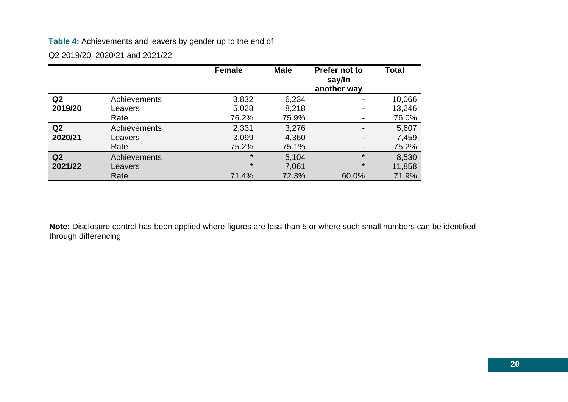### **Table 4:** Achievements and leavers by gender up to the end of

Q2 2019/20, 2020/21 and 2021/22

|                |                     | <b>Female</b> | <b>Male</b> | Prefer not to<br>say/In<br>another way | <b>Total</b> |
|----------------|---------------------|---------------|-------------|----------------------------------------|--------------|
| Q <sub>2</sub> | <b>Achievements</b> | 3,832         | 6,234       |                                        | 10,066       |
| 2019/20        | Leavers             | 5,028         | 8,218       |                                        | 13,246       |
|                | Rate                | 76.2%         | 75.9%       |                                        | 76.0%        |
| Q <sub>2</sub> | <b>Achievements</b> | 2,331         | 3,276       |                                        | 5,607        |
| 2020/21        | Leavers             | 3,099         | 4,360       |                                        | 7,459        |
|                | Rate                | 75.2%         | 75.1%       |                                        | 75.2%        |
| Q2             | <b>Achievements</b> | $\star$       | 5,104       |                                        | 8,530        |
| 2021/22        | Leavers             | $\star$       | 7,061       | $^\star$                               | 11,858       |
|                | Rate                | 71.4%         | 72.3%       | 60.0%                                  | 71.9%        |

**Note:** Disclosure control has been applied where figures are less than 5 or where such small numbers can be identified through differencing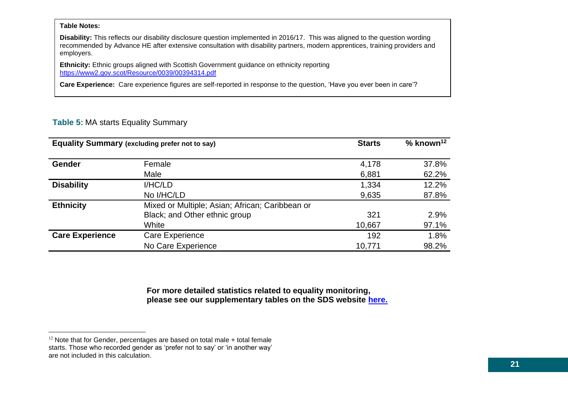#### **Table Notes:**

**Disability:** This reflects our disability disclosure question implemented in 2016/17. This was aligned to the question wording recommended by Advance HE after extensive consultation with disability partners, modern apprentices, training providers and employers.

**Ethnicity:** Ethnic groups aligned with Scottish Government guidance on ethnicity reporting <https://www2.gov.scot/Resource/0039/00394314.pdf>

**Care Experience:** Care experience figures are self-reported in response to the question, 'Have you ever been in care'?

### **Table 5:** MA starts Equality Summary

| <b>Equality Summary (excluding prefer not to say)</b> | <b>Starts</b>                                   | % known <sup>12</sup> |       |
|-------------------------------------------------------|-------------------------------------------------|-----------------------|-------|
| <b>Gender</b>                                         | Female                                          | 4,178                 | 37.8% |
|                                                       | Male                                            | 6,881                 | 62.2% |
| <b>Disability</b>                                     | I/HC/LD                                         | 1,334                 | 12.2% |
|                                                       | No I/HC/LD                                      | 9,635                 | 87.8% |
| <b>Ethnicity</b>                                      | Mixed or Multiple; Asian; African; Caribbean or |                       |       |
|                                                       | Black; and Other ethnic group                   | 321                   | 2.9%  |
|                                                       | White                                           | 10,667                | 97.1% |
| <b>Care Experience</b>                                | <b>Care Experience</b>                          | 192                   | 1.8%  |
|                                                       | No Care Experience                              | 10,771                | 98.2% |

**For more detailed statistics related to equality monitoring, please see our supplementary tables on the SDS website [here.](https://www.skillsdevelopmentscotland.co.uk/publications-statistics/statistics/modern-apprenticeships/?page=1&statisticCategoryId=4&order=date-desc)**

 $12$  Note that for Gender, percentages are based on total male  $+$  total female starts. Those who recorded gender as 'prefer not to say' or 'in another way' are not included in this calculation.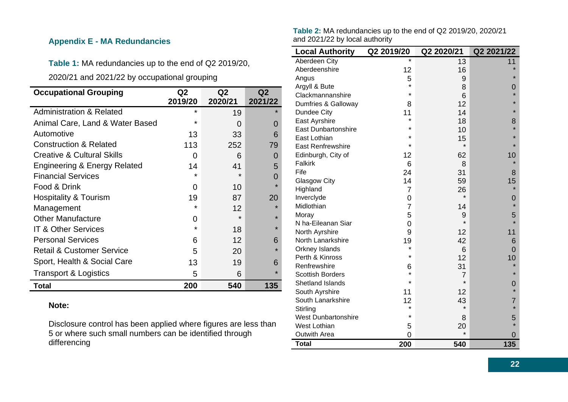### <span id="page-21-0"></span>**Appendix E - MA Redundancies**

**Table 1:** MA redundancies up to the end of Q2 2019/20,

2020/21 and 2021/22 by occupational grouping

| <b>Occupational Grouping</b>            | Q <sub>2</sub> | Q <sub>2</sub> | Q2      |
|-----------------------------------------|----------------|----------------|---------|
|                                         | 2019/20        | 2020/21        | 2021/22 |
| <b>Administration &amp; Related</b>     | $\star$        | 19             | $\star$ |
| Animal Care, Land & Water Based         | $\star$        | 0              | 0       |
| Automotive                              | 13             | 33             | 6       |
| <b>Construction &amp; Related</b>       | 113            | 252            | 79      |
| <b>Creative &amp; Cultural Skills</b>   | 0              | 6              | 0       |
| <b>Engineering &amp; Energy Related</b> | 14             | 41             | 5       |
| <b>Financial Services</b>               | *              | ÷              | 0       |
| Food & Drink                            | 0              | 10             | $\star$ |
| <b>Hospitality &amp; Tourism</b>        | 19             | 87             | 20      |
| Management                              | $\star$        | 12             | $\star$ |
| <b>Other Manufacture</b>                | 0              |                | $\star$ |
| <b>IT &amp; Other Services</b>          | $\star$        | 18             | $\star$ |
| <b>Personal Services</b>                | 6              | 12             | 6       |
| <b>Retail &amp; Customer Service</b>    | 5              | 20             | $\star$ |
| Sport, Health & Social Care             | 13             | 19             | 6       |
| <b>Transport &amp; Logistics</b>        | 5              | 6              | $\star$ |
| Total                                   | 200            | 540            | 135     |

#### **Note:**

Disclosure control has been applied where figures are less than 5 or where such small numbers can be identified through differencing

|                                | Table 2: MA redundancies up to the end of Q2 2019/20, 2020/21 |
|--------------------------------|---------------------------------------------------------------|
| and 2021/22 by local authority |                                                               |

| <b>Local Authority</b>     | Q2 2019/20     | Q2 2020/21     | Q2 2021/22     |
|----------------------------|----------------|----------------|----------------|
| Aberdeen City              | $\star$        | 13             | 11             |
| Aberdeenshire              | 12             | 16             |                |
| Angus                      | 5              | 9              | $\star$        |
| Argyll & Bute              | $\star$        | 8              | O              |
| Clackmannanshire           | $\star$        | 6              | $\star$        |
| Dumfries & Galloway        | 8              | 12             | $\star$        |
| Dundee City                | 11             | 14             | $\star$        |
| East Ayrshire              | *              | 18             | 8              |
| <b>East Dunbartonshire</b> | $\star$        | 10             | $\star$        |
| East Lothian               | $\star$        | 15             | $\star$        |
| <b>East Renfrewshire</b>   | $\star$        | $\star$        | $\star$        |
| Edinburgh, City of         | 12             | 62             | 10             |
| <b>Falkirk</b>             | 6              | 8              |                |
| Fife                       | 24             | 31             | 8              |
| <b>Glasgow City</b>        | 14             | 59             | 15             |
| Highland                   | $\overline{7}$ | 26             |                |
| Inverclyde                 | 0              | $\star$        | 0              |
| Midlothian                 | $\overline{7}$ | 14             | $\star$        |
| Moray                      | 5              | 9              | 5              |
| N ha-Eileanan Siar         | 0              | $\star$        | $\star$        |
| North Ayrshire             | 9              | 12             | 11             |
| North Lanarkshire          | 19             | 42             | 6              |
| Orkney Islands             | $\star$        | 6              | $\overline{0}$ |
| Perth & Kinross            | $\star$        | 12             | 10             |
| Renfrewshire               | 6              | 31             | $\star$        |
| <b>Scottish Borders</b>    | $\star$        | $\overline{7}$ | $\star$        |
| Shetland Islands           | $\star$        | $\star$        | 0              |
| South Ayrshire             | 11             | 12             | $\star$        |
| South Lanarkshire          | 12             | 43             | 7              |
| Stirling                   | $\star$        | $\star$        | $\star$        |
| <b>West Dunbartonshire</b> | $\star$        | 8              | 5              |
| <b>West Lothian</b>        | 5              | 20             | $\star$        |
| <b>Outwith Area</b>        | 0              | $\star$        | O              |
| <b>Total</b>               | 200            | 540            | 135            |